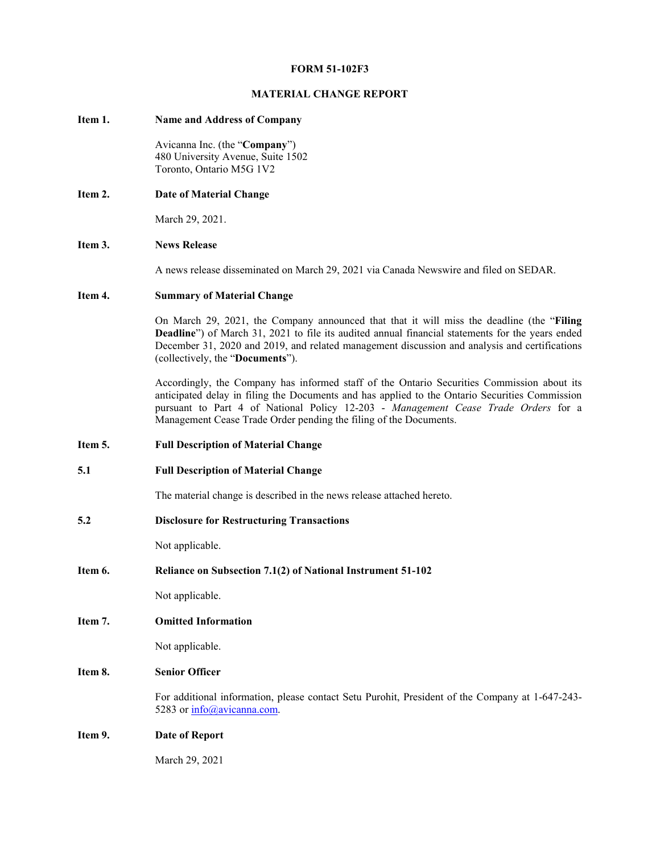## **FORM 51-102F3**

## **MATERIAL CHANGE REPORT**

## **Item 1. Name and Address of Company**

Avicanna Inc. (the "**Company**") 480 University Avenue, Suite 1502 Toronto, Ontario M5G 1V2

**Item 2. Date of Material Change**

March 29, 2021.

## **Item 3. News Release**

A news release disseminated on March 29, 2021 via Canada Newswire and filed on SEDAR.

## **Item 4. Summary of Material Change**

On March 29, 2021, the Company announced that that it will miss the deadline (the "**Filing Deadline**") of March 31, 2021 to file its audited annual financial statements for the years ended December 31, 2020 and 2019, and related management discussion and analysis and certifications (collectively, the "**Documents**").

Accordingly, the Company has informed staff of the Ontario Securities Commission about its anticipated delay in filing the Documents and has applied to the Ontario Securities Commission pursuant to Part 4 of National Policy 12-203 - *Management Cease Trade Orders* for a Management Cease Trade Order pending the filing of the Documents.

- **Item 5. Full Description of Material Change**
- **5.1 Full Description of Material Change**

The material change is described in the news release attached hereto.

**5.2 Disclosure for Restructuring Transactions**

Not applicable.

**Item 6. Reliance on Subsection 7.1(2) of National Instrument 51-102**

Not applicable.

**Item 7. Omitted Information**

Not applicable.

## **Item 8. Senior Officer**

For additional information, please contact Setu Purohit, President of the Company at 1-647-243- 5283 or info@avicanna.com.

## **Item 9. Date of Report**

March 29, 2021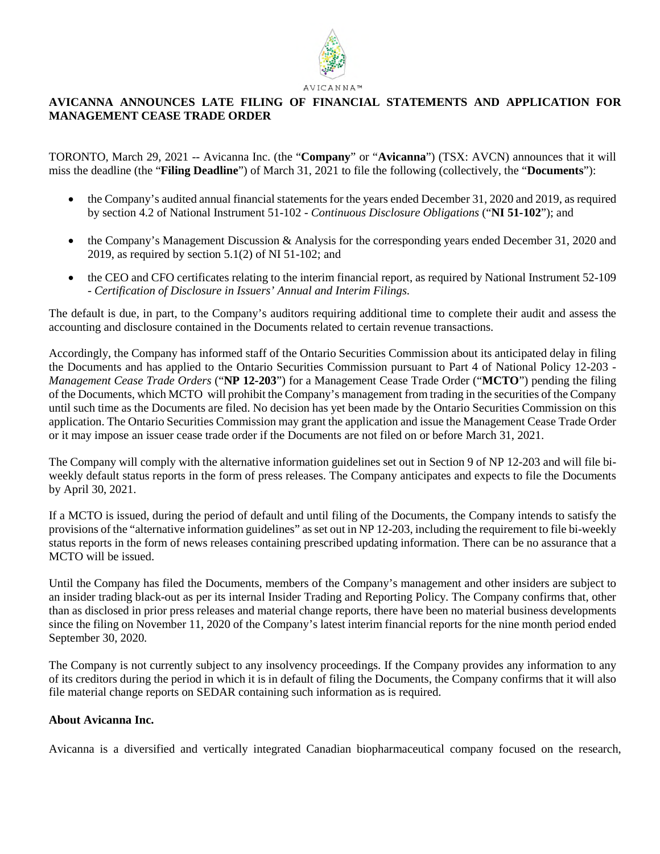

# **AVICANNA ANNOUNCES LATE FILING OF FINANCIAL STATEMENTS AND APPLICATION FOR MANAGEMENT CEASE TRADE ORDER**

TORONTO, March 29, 2021 -- Avicanna Inc. (the "**Company**" or "**Avicanna**") (TSX: AVCN) announces that it will miss the deadline (the "**Filing Deadline**") of March 31, 2021 to file the following (collectively, the "**Documents**"):

- the Company's audited annual financial statements for the years ended December 31, 2020 and 2019, as required by section 4.2 of National Instrument 51-102 - *Continuous Disclosure Obligations* ("**NI 51-102**"); and
- the Company's Management Discussion & Analysis for the corresponding years ended December 31, 2020 and 2019, as required by section  $5.1(2)$  of NI 51-102; and
- the CEO and CFO certificates relating to the interim financial report, as required by National Instrument 52-109 - *Certification of Disclosure in Issuers' Annual and Interim Filings.*

The default is due, in part, to the Company's auditors requiring additional time to complete their audit and assess the accounting and disclosure contained in the Documents related to certain revenue transactions.

Accordingly, the Company has informed staff of the Ontario Securities Commission about its anticipated delay in filing the Documents and has applied to the Ontario Securities Commission pursuant to Part 4 of National Policy 12-203 - *Management Cease Trade Orders* ("**NP 12-203**") for a Management Cease Trade Order ("**MCTO**") pending the filing of the Documents, which MCTO will prohibit the Company's management from trading in the securities of the Company until such time as the Documents are filed. No decision has yet been made by the Ontario Securities Commission on this application. The Ontario Securities Commission may grant the application and issue the Management Cease Trade Order or it may impose an issuer cease trade order if the Documents are not filed on or before March 31, 2021.

The Company will comply with the alternative information guidelines set out in Section 9 of NP 12-203 and will file biweekly default status reports in the form of press releases. The Company anticipates and expects to file the Documents by April 30, 2021.

If a MCTO is issued, during the period of default and until filing of the Documents, the Company intends to satisfy the provisions of the "alternative information guidelines" as set out in NP 12-203, including the requirement to file bi-weekly status reports in the form of news releases containing prescribed updating information. There can be no assurance that a MCTO will be issued.

Until the Company has filed the Documents, members of the Company's management and other insiders are subject to an insider trading black-out as per its internal Insider Trading and Reporting Policy. The Company confirms that, other than as disclosed in prior press releases and material change reports, there have been no material business developments since the filing on November 11, 2020 of the Company's latest interim financial reports for the nine month period ended September 30, 2020.

The Company is not currently subject to any insolvency proceedings. If the Company provides any information to any of its creditors during the period in which it is in default of filing the Documents, the Company confirms that it will also file material change reports on SEDAR containing such information as is required.

# **About Avicanna Inc.**

Avicanna is a diversified and vertically integrated Canadian biopharmaceutical company focused on the research,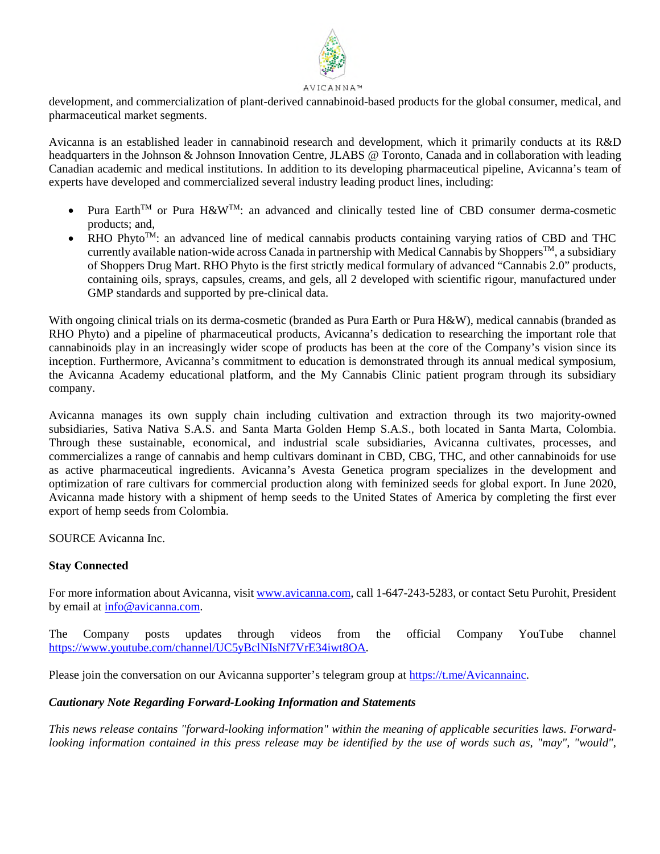

development, and commercialization of plant-derived cannabinoid-based products for the global consumer, medical, and pharmaceutical market segments.

Avicanna is an established leader in cannabinoid research and development, which it primarily conducts at its R&D headquarters in the Johnson & Johnson Innovation Centre, JLABS @ Toronto, Canada and in collaboration with leading Canadian academic and medical institutions. In addition to its developing pharmaceutical pipeline, Avicanna's team of experts have developed and commercialized several industry leading product lines, including:

- Pura Earth<sup>TM</sup> or Pura H&W<sup>TM</sup>: an advanced and clinically tested line of CBD consumer derma-cosmetic products; and,
- RHO Phyto<sup>TM</sup>: an advanced line of medical cannabis products containing varying ratios of CBD and THC currently available nation-wide across Canada in partnership with Medical Cannabis by Shoppers<sup>TM</sup>, a subsidiary of Shoppers Drug Mart. RHO Phyto is the first strictly medical formulary of advanced "Cannabis 2.0" products, containing oils, sprays, capsules, creams, and gels, all 2 developed with scientific rigour, manufactured under GMP standards and supported by pre-clinical data.

With ongoing clinical trials on its derma-cosmetic (branded as Pura Earth or Pura H&W), medical cannabis (branded as RHO Phyto) and a pipeline of pharmaceutical products, Avicanna's dedication to researching the important role that cannabinoids play in an increasingly wider scope of products has been at the core of the Company's vision since its inception. Furthermore, Avicanna's commitment to education is demonstrated through its annual medical symposium, the Avicanna Academy educational platform, and the My Cannabis Clinic patient program through its subsidiary company.

Avicanna manages its own supply chain including cultivation and extraction through its two majority-owned subsidiaries, Sativa Nativa S.A.S. and Santa Marta Golden Hemp S.A.S., both located in Santa Marta, Colombia. Through these sustainable, economical, and industrial scale subsidiaries, Avicanna cultivates, processes, and commercializes a range of cannabis and hemp cultivars dominant in CBD, CBG, THC, and other cannabinoids for use as active pharmaceutical ingredients. Avicanna's Avesta Genetica program specializes in the development and optimization of rare cultivars for commercial production along with feminized seeds for global export. In June 2020, Avicanna made history with a shipment of hemp seeds to the United States of America by completing the first ever export of hemp seeds from Colombia.

SOURCE Avicanna Inc.

# **Stay Connected**

For more information about Avicanna, visit www.avicanna.com, call 1-647-243-5283, or contact Setu Purohit, President by email at info@avicanna.com.

The Company posts updates through videos from the official Company YouTube channel https://www.youtube.com/channel/UC5yBclNIsNf7VrE34iwt8OA.

Please join the conversation on our Avicanna supporter's telegram group at https://t.me/Avicannainc.

# *Cautionary Note Regarding Forward-Looking Information and Statements*

*This news release contains "forward-looking information" within the meaning of applicable securities laws. Forwardlooking information contained in this press release may be identified by the use of words such as, "may", "would",*